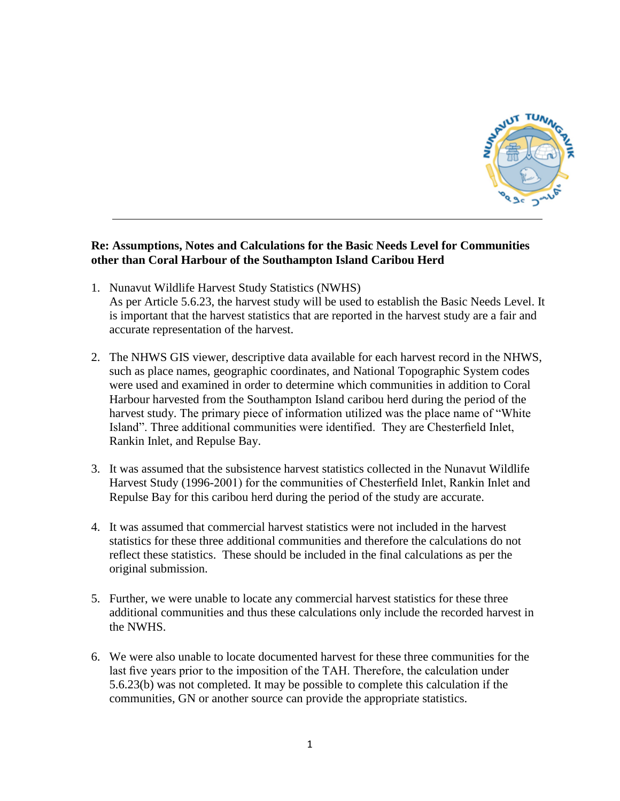

## **Re: Assumptions, Notes and Calculations for the Basic Needs Level for Communities other than Coral Harbour of the Southampton Island Caribou Herd**

- 1. Nunavut Wildlife Harvest Study Statistics (NWHS) As per Article 5.6.23, the harvest study will be used to establish the Basic Needs Level. It is important that the harvest statistics that are reported in the harvest study are a fair and accurate representation of the harvest.
- 2. The NHWS GIS viewer, descriptive data available for each harvest record in the NHWS, such as place names, geographic coordinates, and National Topographic System codes were used and examined in order to determine which communities in addition to Coral Harbour harvested from the Southampton Island caribou herd during the period of the harvest study. The primary piece of information utilized was the place name of "White Island". Three additional communities were identified. They are Chesterfield Inlet, Rankin Inlet, and Repulse Bay.
- 3. It was assumed that the subsistence harvest statistics collected in the Nunavut Wildlife Harvest Study (1996-2001) for the communities of Chesterfield Inlet, Rankin Inlet and Repulse Bay for this caribou herd during the period of the study are accurate.
- 4. It was assumed that commercial harvest statistics were not included in the harvest statistics for these three additional communities and therefore the calculations do not reflect these statistics. These should be included in the final calculations as per the original submission.
- 5. Further, we were unable to locate any commercial harvest statistics for these three additional communities and thus these calculations only include the recorded harvest in the NWHS.
- 6. We were also unable to locate documented harvest for these three communities for the last five years prior to the imposition of the TAH. Therefore, the calculation under 5.6.23(b) was not completed. It may be possible to complete this calculation if the communities, GN or another source can provide the appropriate statistics.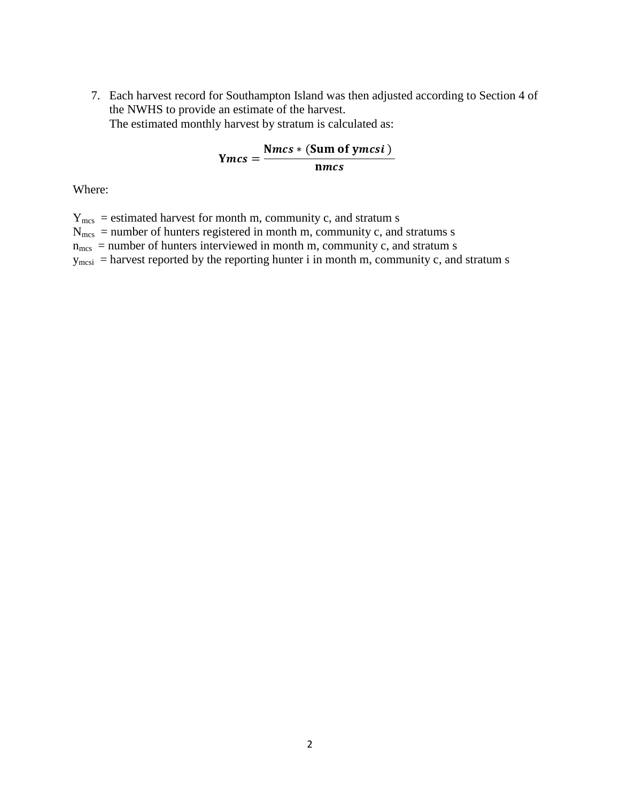7. Each harvest record for Southampton Island was then adjusted according to Section 4 of the NWHS to provide an estimate of the harvest. The estimated monthly harvest by stratum is calculated as:

$$
Ymcs = \frac{Nmcs * (Sum of ymcsi)}{nmcs}
$$

Where:

 $Y_{\text{mes}}$  = estimated harvest for month m, community c, and stratum s  $N<sub>mes</sub>$  = number of hunters registered in month m, community c, and stratums s  $n_{\text{mes}}$  = number of hunters interviewed in month m, community c, and stratum s  $y_{\text{mesi}}$  = harvest reported by the reporting hunter i in month m, community c, and stratum s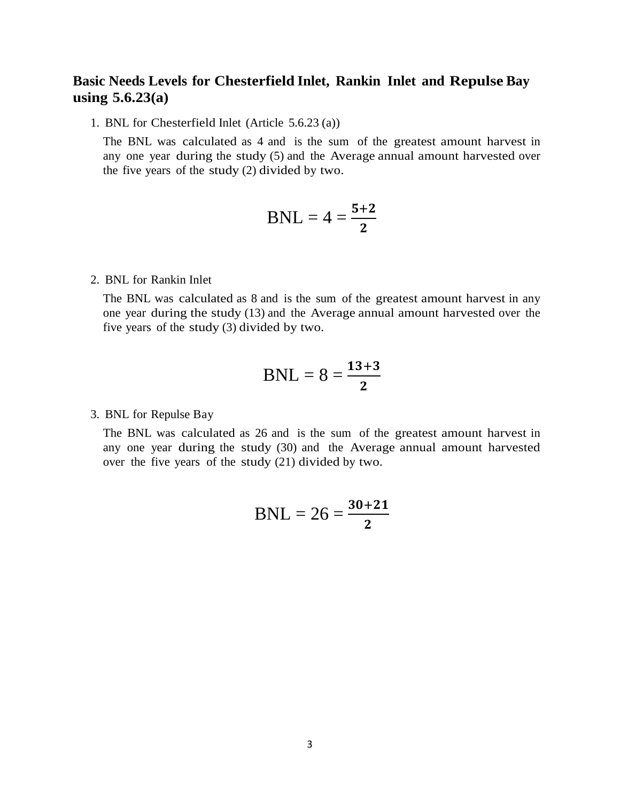# **Basic Needs Levels for Chesterfield Inlet, Rankin Inlet and Repulse Bay using 5.6.23(a)**

1. BNL for Chesterfield Inlet (Article 5.6.23 (a))

The BNL was calculated as 4 and is the sum of the greatest amount harvest in any one year during the study (5) and the Average annual amount harvested over the five years of the study (2) divided by two.

$$
BNL = 4 = \frac{5+2}{2}
$$

2. BNL for Rankin Inlet

The BNL was calculated as 8 and is the sum of the greatest amount harvest in any one year during the study (13) and the Average annual amount harvested over the five years of the study (3) divided by two.

$$
BNL = 8 = \frac{13+3}{2}
$$

3. BNL for Repulse Bay

The BNL was calculated as 26 and is the sum of the greatest amount harvest in any one year during the study (30) and the Average annual amount harvested over the five years of the study (21) divided by two.

$$
BNL = 26 = \frac{30 + 21}{2}
$$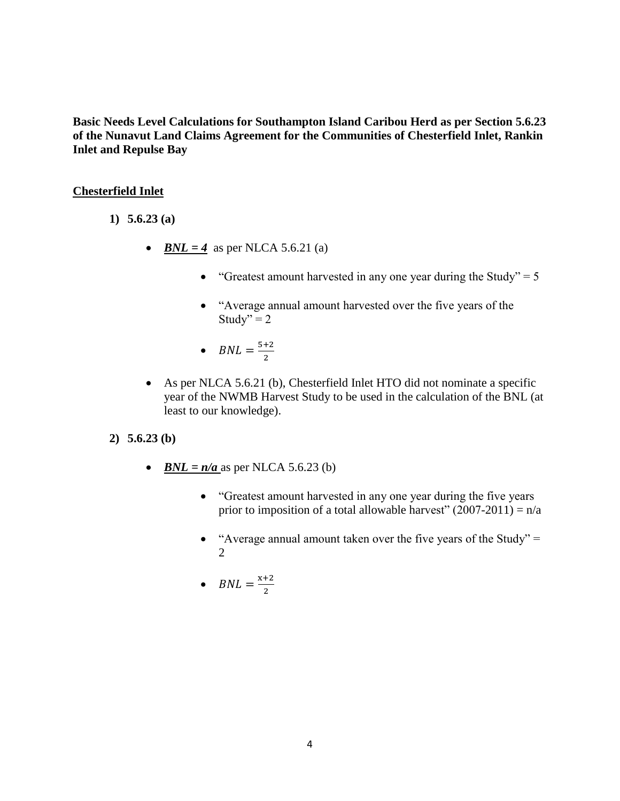**Basic Needs Level Calculations for Southampton Island Caribou Herd as per Section 5.6.23 of the Nunavut Land Claims Agreement for the Communities of Chesterfield Inlet, Rankin Inlet and Repulse Bay**

## **Chesterfield Inlet**

- **1) 5.6.23 (a)**
	- *BNL* = 4 as per NLCA 5.6.21 (a)
		- "Greatest amount harvested in any one year during the Study"  $= 5$
		- "Average annual amount harvested over the five years of the Study" =  $2$
		- $BNL = \frac{5}{5}$  $\overline{\mathbf{c}}$
	- As per NLCA 5.6.21 (b), Chesterfield Inlet HTO did not nominate a specific year of the NWMB Harvest Study to be used in the calculation of the BNL (at least to our knowledge).
- **2) 5.6.23 (b)**
	- *BNL =*  $n/a$  as per NLCA 5.6.23 (b)
		- "Greatest amount harvested in any one year during the five years" prior to imposition of a total allowable harvest"  $(2007-2011) = n/a$
		- "Average annual amount taken over the five years of the Study"  $=$ 2
		- $BNL = \frac{x}{x}$  $\overline{\mathbf{c}}$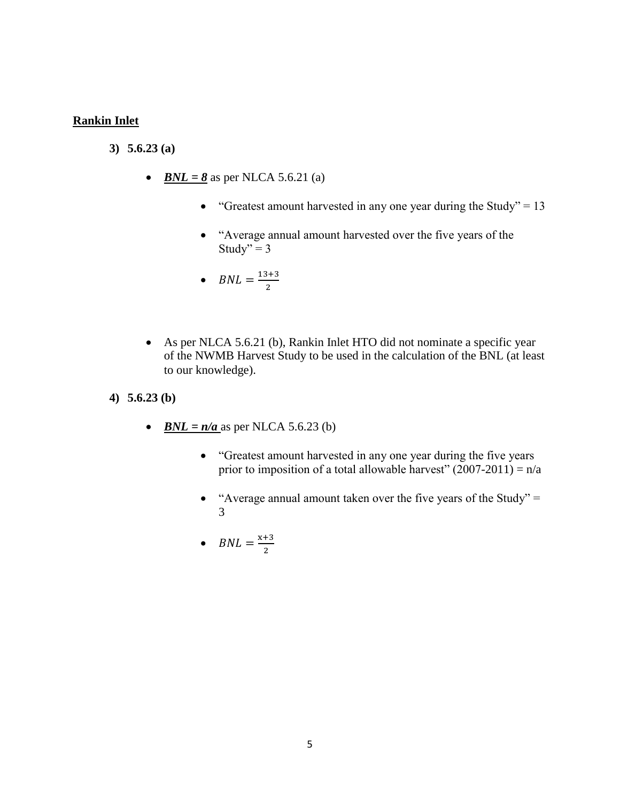#### **Rankin Inlet**

- **3) 5.6.23 (a)**
	- $BNL = 8$  as per NLCA 5.6.21 (a)
		- "Greatest amount harvested in any one year during the Study" =  $13$
		- "Average annual amount harvested over the five years of the Study" =  $3$
		- $BNL = \frac{1}{2}$  $\overline{\mathbf{c}}$
	- As per NLCA 5.6.21 (b), Rankin Inlet HTO did not nominate a specific year of the NWMB Harvest Study to be used in the calculation of the BNL (at least to our knowledge).
- **4) 5.6.23 (b)**
	- *BNL =*  $n/a$  as per NLCA 5.6.23 (b)
		- "Greatest amount harvested in any one year during the five years prior to imposition of a total allowable harvest"  $(2007-2011) = n/a$
		- "Average annual amount taken over the five years of the Study" = 3
		- $BNL = \frac{x}{x}$  $\overline{\mathbf{c}}$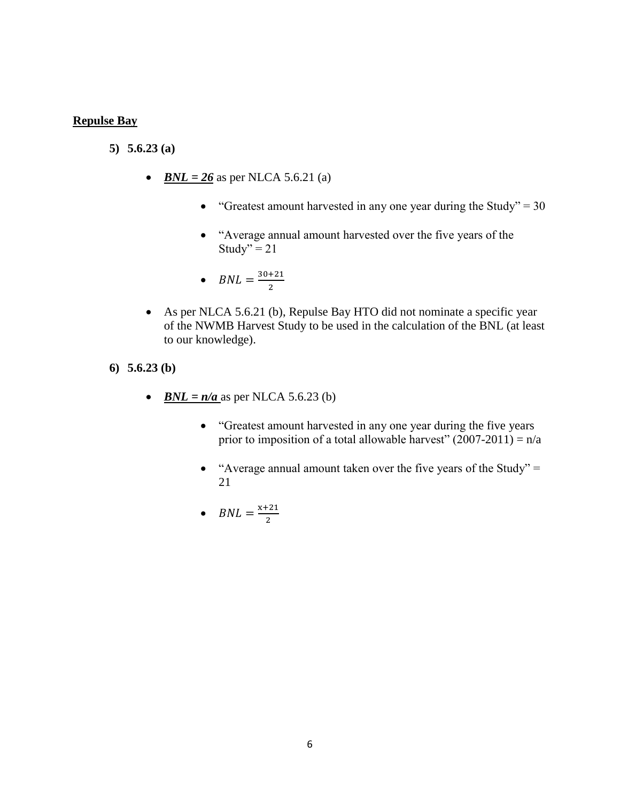#### **Repulse Bay**

- **5) 5.6.23 (a)**
	- *BNL* =  $26$  as per NLCA 5.6.21 (a)
		- "Greatest amount harvested in any one year during the Study" =  $30$
		- "Average annual amount harvested over the five years of the Study" =  $21$
		- $BNL = \frac{3}{2}$  $\overline{\mathbf{c}}$
	- As per NLCA 5.6.21 (b), Repulse Bay HTO did not nominate a specific year of the NWMB Harvest Study to be used in the calculation of the BNL (at least to our knowledge).
- **6) 5.6.23 (b)**
	- *BNL =*  $n/a$  as per NLCA 5.6.23 (b)
		- "Greatest amount harvested in any one year during the five years prior to imposition of a total allowable harvest"  $(2007-2011) = n/a$
		- "Average annual amount taken over the five years of the Study"  $=$ 21
		- $BNL = \frac{x}{x}$  $\overline{\mathbf{c}}$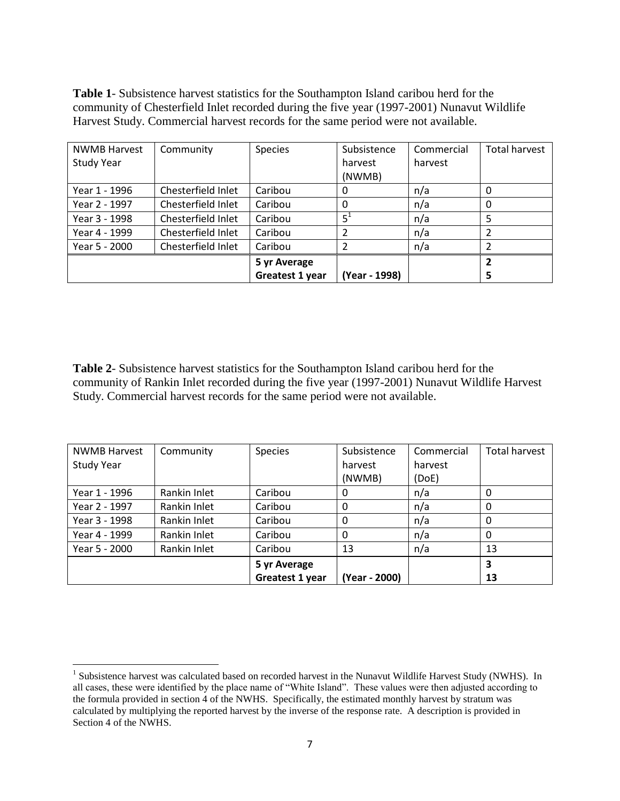**Table 1**- Subsistence harvest statistics for the Southampton Island caribou herd for the community of Chesterfield Inlet recorded during the five year (1997-2001) Nunavut Wildlife Harvest Study. Commercial harvest records for the same period were not available.

| <b>NWMB Harvest</b> | Community          | <b>Species</b>  | Subsistence   | Commercial | Total harvest |
|---------------------|--------------------|-----------------|---------------|------------|---------------|
| <b>Study Year</b>   |                    |                 | harvest       | harvest    |               |
|                     |                    |                 | (NWMB)        |            |               |
| Year 1 - 1996       | Chesterfield Inlet | Caribou         | 0             | n/a        | 0             |
| Year 2 - 1997       | Chesterfield Inlet | Caribou         | $\Omega$      | n/a        | 0             |
| Year 3 - 1998       | Chesterfield Inlet | Caribou         | $5^1$         | n/a        |               |
| Year 4 - 1999       | Chesterfield Inlet | Caribou         |               | n/a        |               |
| Year 5 - 2000       | Chesterfield Inlet | Caribou         |               | n/a        |               |
|                     |                    | 5 yr Average    |               |            |               |
|                     |                    | Greatest 1 year | (Year - 1998) |            |               |

**Table 2**- Subsistence harvest statistics for the Southampton Island caribou herd for the community of Rankin Inlet recorded during the five year (1997-2001) Nunavut Wildlife Harvest Study. Commercial harvest records for the same period were not available.

| <b>NWMB Harvest</b> | Community    | <b>Species</b>  | Subsistence   | Commercial | <b>Total harvest</b> |
|---------------------|--------------|-----------------|---------------|------------|----------------------|
| <b>Study Year</b>   |              |                 | harvest       | harvest    |                      |
|                     |              |                 | (NWMB)        | (DoE)      |                      |
| Year 1 - 1996       | Rankin Inlet | Caribou         |               | n/a        |                      |
| Year 2 - 1997       | Rankin Inlet | Caribou         |               | n/a        | 0                    |
| Year 3 - 1998       | Rankin Inlet | Caribou         |               | n/a        | 0                    |
| Year 4 - 1999       | Rankin Inlet | Caribou         |               | n/a        |                      |
| Year 5 - 2000       | Rankin Inlet | Caribou         | 13            | n/a        | 13                   |
|                     |              | 5 yr Average    |               |            | 3                    |
|                     |              | Greatest 1 year | (Year - 2000) |            | 13                   |

 $\overline{a}$ <sup>1</sup> Subsistence harvest was calculated based on recorded harvest in the Nunavut Wildlife Harvest Study (NWHS). In all cases, these were identified by the place name of "White Island". These values were then adjusted according to the formula provided in section 4 of the NWHS. Specifically, the estimated monthly harvest by stratum was calculated by multiplying the reported harvest by the inverse of the response rate. A description is provided in Section 4 of the NWHS.